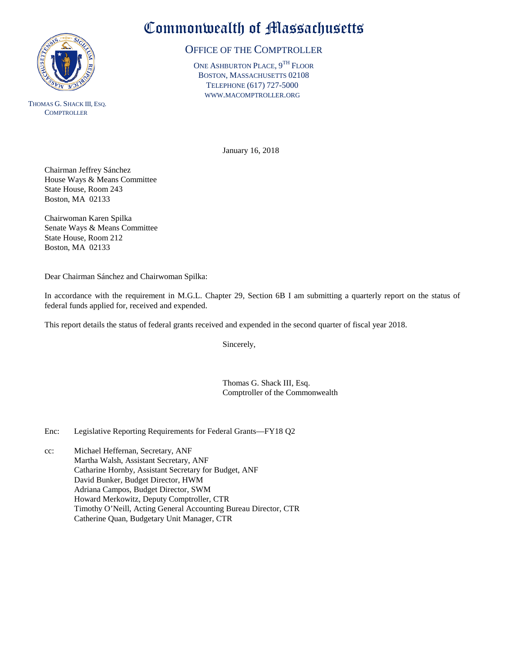

THOMAS G. SHACK III, ESQ. **COMPTROLLER** 

## Commonwealth of Massachusetts

## OFFICE OF THE COMPTROLLER

ONE ASHBURTON PLACE, 9TH FLOOR BOSTON, MASSACHUSETTS 02108 TELEPHONE (617) 727-5000 WWW.MACOMPTROLLER.ORG

January 16, 2018

Chairman Jeffrey Sánchez House Ways & Means Committee State House, Room 243 Boston, MA 02133

Chairwoman Karen Spilka Senate Ways & Means Committee State House, Room 212 Boston, MA 02133

Dear Chairman Sánchez and Chairwoman Spilka:

In accordance with the requirement in M.G.L. Chapter 29, Section 6B I am submitting a quarterly report on the status of federal funds applied for, received and expended.

This report details the status of federal grants received and expended in the second quarter of fiscal year 2018.

Sincerely,

Thomas G. Shack III, Esq. Comptroller of the Commonwealth

Enc: Legislative Reporting Requirements for Federal Grants—FY18 Q2

cc: Michael Heffernan, Secretary, ANF Martha Walsh, Assistant Secretary, ANF Catharine Hornby, Assistant Secretary for Budget, ANF David Bunker, Budget Director, HWM Adriana Campos, Budget Director, SWM Howard Merkowitz, Deputy Comptroller, CTR Timothy O'Neill, Acting General Accounting Bureau Director, CTR Catherine Quan, Budgetary Unit Manager, CTR